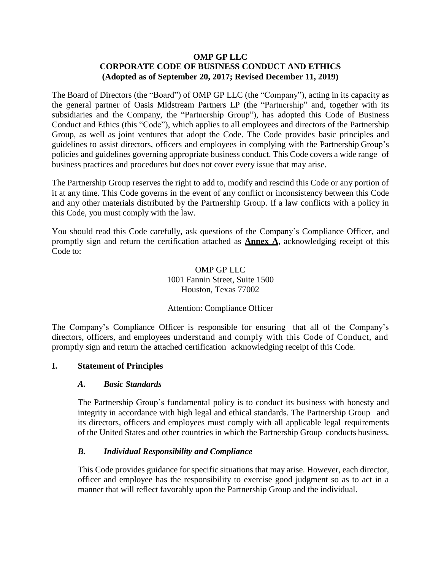#### **OMP GP LLC CORPORATE CODE OF BUSINESS CONDUCT AND ETHICS (Adopted as of September 20, 2017; Revised December 11, 2019)**

The Board of Directors (the "Board") of OMP GP LLC (the "Company"), acting in its capacity as the general partner of Oasis Midstream Partners LP (the "Partnership" and, together with its subsidiaries and the Company, the "Partnership Group"), has adopted this Code of Business Conduct and Ethics (this "Code"), which applies to all employees and directors of the Partnership Group, as well as joint ventures that adopt the Code. The Code provides basic principles and guidelines to assist directors, officers and employees in complying with the Partnership Group's policies and guidelines governing appropriate business conduct. This Code covers a wide range of business practices and procedures but does not cover every issue that may arise.

The Partnership Group reserves the right to add to, modify and rescind this Code or any portion of it at any time. This Code governs in the event of any conflict or inconsistency between this Code and any other materials distributed by the Partnership Group. If a law conflicts with a policy in this Code, you must comply with the law.

You should read this Code carefully, ask questions of the Company's Compliance Officer, and promptly sign and return the certification attached as **[Annex](#page-16-0) A**, acknowledging receipt of this Code to:

> OMP GP LLC 1001 Fannin Street, Suite 1500 Houston, Texas 77002

## Attention: Compliance Officer

The Company's Compliance Officer is responsible for ensuring that all of the Company's directors, officers, and employees understand and comply with this Code of Conduct, and promptly sign and return the attached certification acknowledging receipt of this Code.

#### **I. Statement of Principles**

#### *A. Basic Standards*

The Partnership Group's fundamental policy is to conduct its business with honesty and integrity in accordance with high legal and ethical standards. The Partnership Group and its directors, officers and employees must comply with all applicable legal requirements of the United States and other countries in which the Partnership Group conducts business.

## *B. Individual Responsibility and Compliance*

This Code provides guidance for specific situations that may arise. However, each director, officer and employee has the responsibility to exercise good judgment so as to act in a manner that will reflect favorably upon the Partnership Group and the individual.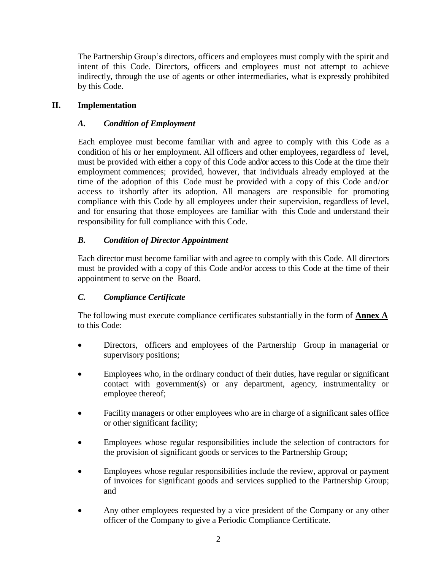The Partnership Group's directors, officers and employees must comply with the spirit and intent of this Code. Directors, officers and employees must not attempt to achieve indirectly, through the use of agents or other intermediaries, what is expressly prohibited by this Code.

# **II. Implementation**

# *A. Condition of Employment*

Each employee must become familiar with and agree to comply with this Code as a condition of his or her employment. All officers and other employees, regardless of level, must be provided with either a copy of this Code and/or access to this Code at the time their employment commences; provided, however, that individuals already employed at the time of the adoption of this Code must be provided with a copy of this Code and/or access to itshortly after its adoption. All managers are responsible for promoting compliance with this Code by all employees under their supervision, regardless of level, and for ensuring that those employees are familiar with this Code and understand their responsibility for full compliance with this Code.

# *B. Condition of Director Appointment*

Each director must become familiar with and agree to comply with this Code. All directors must be provided with a copy of this Code and/or access to this Code at the time of their appointment to serve on the Board.

# *C. Compliance Certificate*

The following must execute compliance certificates substantially in the form of **[Annex](#page-16-0) A** to this Code:

- Directors, officers and employees of the Partnership Group in managerial or supervisory positions;
- Employees who, in the ordinary conduct of their duties, have regular or significant contact with government(s) or any department, agency, instrumentality or employee thereof;
- Facility managers or other employees who are in charge of a significant sales office or other significant facility;
- Employees whose regular responsibilities include the selection of contractors for the provision of significant goods or services to the Partnership Group;
- Employees whose regular responsibilities include the review, approval or payment of invoices for significant goods and services supplied to the Partnership Group; and
- Any other employees requested by a vice president of the Company or any other officer of the Company to give a Periodic Compliance Certificate.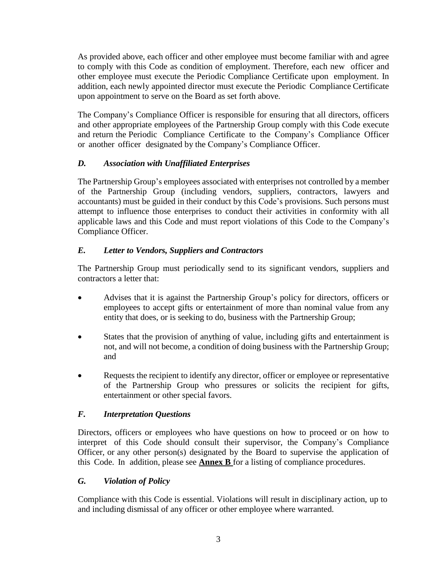As provided above, each officer and other employee must become familiar with and agree to comply with this Code as condition of employment. Therefore, each new officer and other employee must execute the Periodic Compliance Certificate upon employment. In addition, each newly appointed director must execute the Periodic Compliance Certificate upon appointment to serve on the Board as set forth above.

The Company's Compliance Officer is responsible for ensuring that all directors, officers and other appropriate employees of the Partnership Group comply with this Code execute and return the Periodic Compliance Certificate to the Company's Compliance Officer or another officer designated by the Company's Compliance Officer.

# *D. Association with Unaffiliated Enterprises*

The Partnership Group's employees associated with enterprises not controlled by a member of the Partnership Group (including vendors, suppliers, contractors, lawyers and accountants) must be guided in their conduct by this Code's provisions. Such persons must attempt to influence those enterprises to conduct their activities in conformity with all applicable laws and this Code and must report violations of this Code to the Company's Compliance Officer.

# *E. Letter to Vendors, Suppliers and Contractors*

The Partnership Group must periodically send to its significant vendors, suppliers and contractors a letter that:

- Advises that it is against the Partnership Group's policy for directors, officers or employees to accept gifts or entertainment of more than nominal value from any entity that does, or is seeking to do, business with the Partnership Group;
- States that the provision of anything of value, including gifts and entertainment is not, and will not become, a condition of doing business with the Partnership Group; and
- Requests the recipient to identify any director, officer or employee or representative of the Partnership Group who pressures or solicits the recipient for gifts, entertainment or other special favors.

# *F. Interpretation Questions*

Directors, officers or employees who have questions on how to proceed or on how to interpret of this Code should consult their supervisor, the Company's Compliance Officer, or any other person(s) designated by the Board to supervise the application of this Code. In addition, please see **[Annex B](#page-18-0)** for a listing of compliance procedures.

# *G. Violation of Policy*

Compliance with this Code is essential. Violations will result in disciplinary action, up to and including dismissal of any officer or other employee where warranted.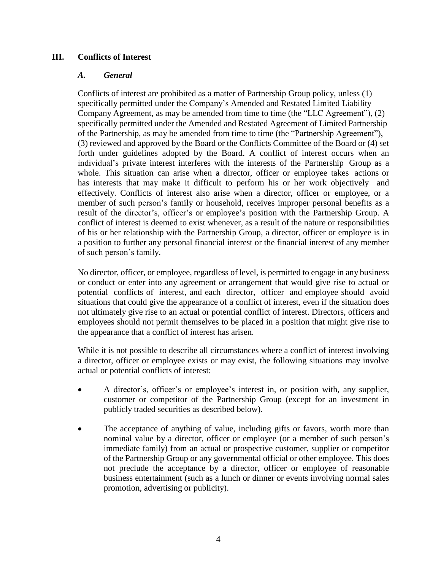### **III. Conflicts of Interest**

#### *A. General*

Conflicts of interest are prohibited as a matter of Partnership Group policy, unless (1) specifically permitted under the Company's Amended and Restated Limited Liability Company Agreement, as may be amended from time to time (the "LLC Agreement"), (2) specifically permitted under the Amended and Restated Agreement of Limited Partnership of the Partnership, as may be amended from time to time (the "Partnership Agreement"), (3) reviewed and approved by the Board or the Conflicts Committee of the Board or (4) set forth under guidelines adopted by the Board. A conflict of interest occurs when an individual's private interest interferes with the interests of the Partnership Group as a whole. This situation can arise when a director, officer or employee takes actions or has interests that may make it difficult to perform his or her work objectively and effectively. Conflicts of interest also arise when a director, officer or employee, or a member of such person's family or household, receives improper personal benefits as a result of the director's, officer's or employee's position with the Partnership Group. A conflict of interest is deemed to exist whenever, as a result of the nature or responsibilities of his or her relationship with the Partnership Group, a director, officer or employee is in a position to further any personal financial interest or the financial interest of any member of such person's family.

No director, officer, or employee, regardless of level, is permitted to engage in any business or conduct or enter into any agreement or arrangement that would give rise to actual or potential conflicts of interest, and each director, officer and employee should avoid situations that could give the appearance of a conflict of interest, even if the situation does not ultimately give rise to an actual or potential conflict of interest. Directors, officers and employees should not permit themselves to be placed in a position that might give rise to the appearance that a conflict of interest has arisen.

While it is not possible to describe all circumstances where a conflict of interest involving a director, officer or employee exists or may exist, the following situations may involve actual or potential conflicts of interest:

- A director's, officer's or employee's interest in, or position with, any supplier, customer or competitor of the Partnership Group (except for an investment in publicly traded securities as described below).
- The acceptance of anything of value, including gifts or favors, worth more than nominal value by a director, officer or employee (or a member of such person's immediate family) from an actual or prospective customer, supplier or competitor of the Partnership Group or any governmental official or other employee. This does not preclude the acceptance by a director, officer or employee of reasonable business entertainment (such as a lunch or dinner or events involving normal sales promotion, advertising or publicity).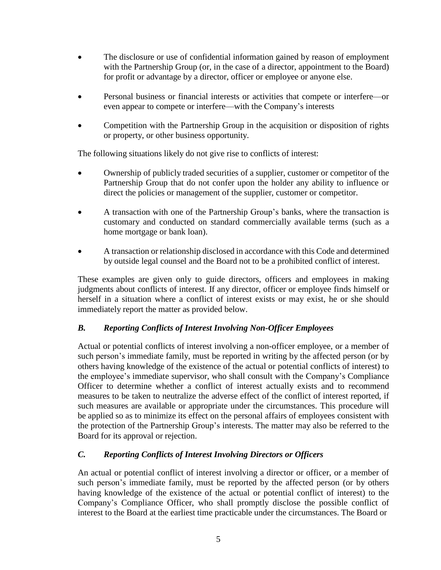- The disclosure or use of confidential information gained by reason of employment with the Partnership Group (or, in the case of a director, appointment to the Board) for profit or advantage by a director, officer or employee or anyone else.
- Personal business or financial interests or activities that compete or interfere—or even appear to compete or interfere—with the Company's interests
- Competition with the Partnership Group in the acquisition or disposition of rights or property, or other business opportunity.

The following situations likely do not give rise to conflicts of interest:

- Ownership of publicly traded securities of a supplier, customer or competitor of the Partnership Group that do not confer upon the holder any ability to influence or direct the policies or management of the supplier, customer or competitor.
- A transaction with one of the Partnership Group's banks, where the transaction is customary and conducted on standard commercially available terms (such as a home mortgage or bank loan).
- A transaction or relationship disclosed in accordance with this Code and determined by outside legal counsel and the Board not to be a prohibited conflict of interest.

These examples are given only to guide directors, officers and employees in making judgments about conflicts of interest. If any director, officer or employee finds himself or herself in a situation where a conflict of interest exists or may exist, he or she should immediately report the matter as provided below.

# *B. Reporting Conflicts of Interest Involving Non-Officer Employees*

Actual or potential conflicts of interest involving a non-officer employee, or a member of such person's immediate family, must be reported in writing by the affected person (or by others having knowledge of the existence of the actual or potential conflicts of interest) to the employee's immediate supervisor, who shall consult with the Company's Compliance Officer to determine whether a conflict of interest actually exists and to recommend measures to be taken to neutralize the adverse effect of the conflict of interest reported, if such measures are available or appropriate under the circumstances. This procedure will be applied so as to minimize its effect on the personal affairs of employees consistent with the protection of the Partnership Group's interests. The matter may also be referred to the Board for its approval or rejection.

## *C. Reporting Conflicts of Interest Involving Directors or Officers*

An actual or potential conflict of interest involving a director or officer, or a member of such person's immediate family, must be reported by the affected person (or by others having knowledge of the existence of the actual or potential conflict of interest) to the Company's Compliance Officer, who shall promptly disclose the possible conflict of interest to the Board at the earliest time practicable under the circumstances. The Board or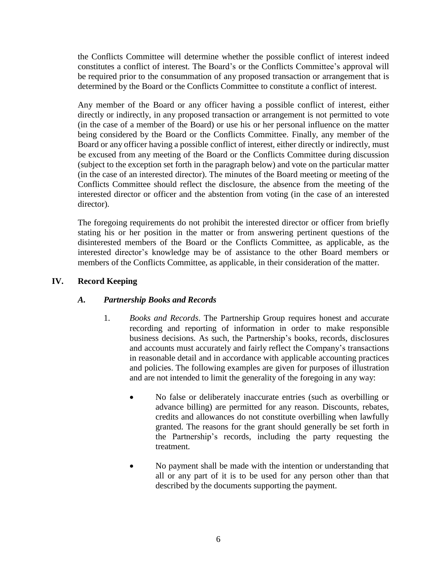the Conflicts Committee will determine whether the possible conflict of interest indeed constitutes a conflict of interest. The Board's or the Conflicts Committee's approval will be required prior to the consummation of any proposed transaction or arrangement that is determined by the Board or the Conflicts Committee to constitute a conflict of interest.

Any member of the Board or any officer having a possible conflict of interest, either directly or indirectly, in any proposed transaction or arrangement is not permitted to vote (in the case of a member of the Board) or use his or her personal influence on the matter being considered by the Board or the Conflicts Committee. Finally, any member of the Board or any officer having a possible conflict of interest, either directly or indirectly, must be excused from any meeting of the Board or the Conflicts Committee during discussion (subject to the exception set forth in the paragraph below) and vote on the particular matter (in the case of an interested director). The minutes of the Board meeting or meeting of the Conflicts Committee should reflect the disclosure, the absence from the meeting of the interested director or officer and the abstention from voting (in the case of an interested director).

The foregoing requirements do not prohibit the interested director or officer from briefly stating his or her position in the matter or from answering pertinent questions of the disinterested members of the Board or the Conflicts Committee, as applicable, as the interested director's knowledge may be of assistance to the other Board members or members of the Conflicts Committee, as applicable, in their consideration of the matter.

## **IV. Record Keeping**

## *A. Partnership Books and Records*

- 1. *Books and Records*. The Partnership Group requires honest and accurate recording and reporting of information in order to make responsible business decisions. As such, the Partnership's books, records, disclosures and accounts must accurately and fairly reflect the Company's transactions in reasonable detail and in accordance with applicable accounting practices and policies. The following examples are given for purposes of illustration and are not intended to limit the generality of the foregoing in any way:
	- No false or deliberately inaccurate entries (such as overbilling or advance billing) are permitted for any reason. Discounts, rebates, credits and allowances do not constitute overbilling when lawfully granted. The reasons for the grant should generally be set forth in the Partnership's records, including the party requesting the treatment.
	- No payment shall be made with the intention or understanding that all or any part of it is to be used for any person other than that described by the documents supporting the payment.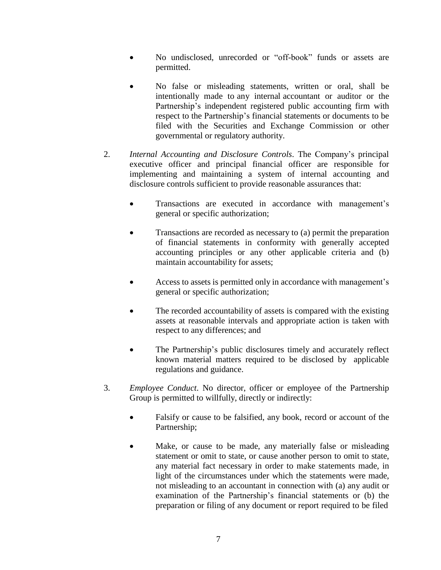- No undisclosed, unrecorded or "off-book" funds or assets are permitted.
- No false or misleading statements, written or oral, shall be intentionally made to any internal accountant or auditor or the Partnership's independent registered public accounting firm with respect to the Partnership's financial statements or documents to be filed with the Securities and Exchange Commission or other governmental or regulatory authority.
- 2. *Internal Accounting and Disclosure Controls*. The Company's principal executive officer and principal financial officer are responsible for implementing and maintaining a system of internal accounting and disclosure controls sufficient to provide reasonable assurances that:
	- Transactions are executed in accordance with management's general or specific authorization;
	- Transactions are recorded as necessary to (a) permit the preparation of financial statements in conformity with generally accepted accounting principles or any other applicable criteria and (b) maintain accountability for assets;
	- Access to assets is permitted only in accordance with management's general or specific authorization;
	- The recorded accountability of assets is compared with the existing assets at reasonable intervals and appropriate action is taken with respect to any differences; and
	- The Partnership's public disclosures timely and accurately reflect known material matters required to be disclosed by applicable regulations and guidance.
- 3. *Employee Conduct*. No director, officer or employee of the Partnership Group is permitted to willfully, directly or indirectly:
	- Falsify or cause to be falsified, any book, record or account of the Partnership;
	- Make, or cause to be made, any materially false or misleading statement or omit to state, or cause another person to omit to state, any material fact necessary in order to make statements made, in light of the circumstances under which the statements were made, not misleading to an accountant in connection with (a) any audit or examination of the Partnership's financial statements or (b) the preparation or filing of any document or report required to be filed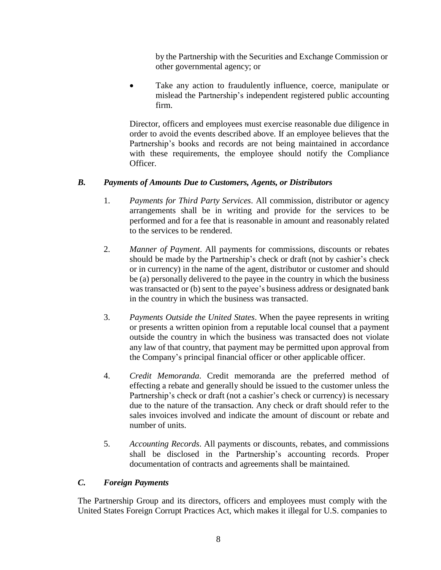by the Partnership with the Securities and Exchange Commission or other governmental agency; or

 Take any action to fraudulently influence, coerce, manipulate or mislead the Partnership's independent registered public accounting firm.

Director, officers and employees must exercise reasonable due diligence in order to avoid the events described above. If an employee believes that the Partnership's books and records are not being maintained in accordance with these requirements, the employee should notify the Compliance Officer.

## *B. Payments of Amounts Due to Customers, Agents, or Distributors*

- 1. *Payments for Third Party Services*. All commission, distributor or agency arrangements shall be in writing and provide for the services to be performed and for a fee that is reasonable in amount and reasonably related to the services to be rendered.
- 2. *Manner of Payment*. All payments for commissions, discounts or rebates should be made by the Partnership's check or draft (not by cashier's check or in currency) in the name of the agent, distributor or customer and should be (a) personally delivered to the payee in the country in which the business was transacted or (b) sent to the payee's business address or designated bank in the country in which the business was transacted.
- 3. *Payments Outside the United States*. When the payee represents in writing or presents a written opinion from a reputable local counsel that a payment outside the country in which the business was transacted does not violate any law of that country, that payment may be permitted upon approval from the Company's principal financial officer or other applicable officer.
- 4. *Credit Memoranda*. Credit memoranda are the preferred method of effecting a rebate and generally should be issued to the customer unless the Partnership's check or draft (not a cashier's check or currency) is necessary due to the nature of the transaction. Any check or draft should refer to the sales invoices involved and indicate the amount of discount or rebate and number of units.
- 5. *Accounting Records*. All payments or discounts, rebates, and commissions shall be disclosed in the Partnership's accounting records. Proper documentation of contracts and agreements shall be maintained.

# *C. Foreign Payments*

The Partnership Group and its directors, officers and employees must comply with the United States Foreign Corrupt Practices Act, which makes it illegal for U.S. companies to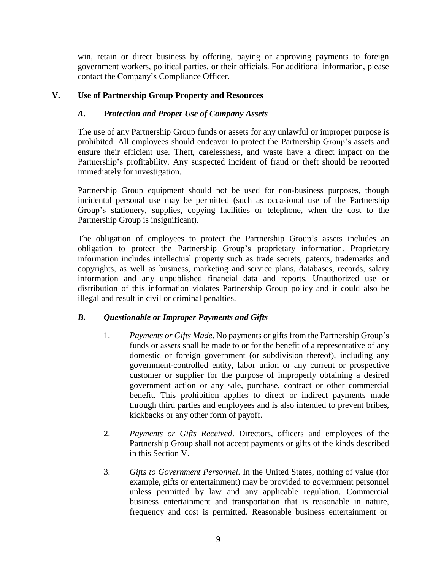win, retain or direct business by offering, paying or approving payments to foreign government workers, political parties, or their officials. For additional information, please contact the Company's Compliance Officer.

### **V. Use of Partnership Group Property and Resources**

#### *A. Protection and Proper Use of Company Assets*

The use of any Partnership Group funds or assets for any unlawful or improper purpose is prohibited. All employees should endeavor to protect the Partnership Group's assets and ensure their efficient use. Theft, carelessness, and waste have a direct impact on the Partnership's profitability. Any suspected incident of fraud or theft should be reported immediately for investigation.

Partnership Group equipment should not be used for non-business purposes, though incidental personal use may be permitted (such as occasional use of the Partnership Group's stationery, supplies, copying facilities or telephone, when the cost to the Partnership Group is insignificant).

The obligation of employees to protect the Partnership Group's assets includes an obligation to protect the Partnership Group's proprietary information. Proprietary information includes intellectual property such as trade secrets, patents, trademarks and copyrights, as well as business, marketing and service plans, databases, records, salary information and any unpublished financial data and reports. Unauthorized use or distribution of this information violates Partnership Group policy and it could also be illegal and result in civil or criminal penalties.

## *B. Questionable or Improper Payments and Gifts*

- 1. *Payments or Gifts Made*. No payments or gifts from the Partnership Group's funds or assets shall be made to or for the benefit of a representative of any domestic or foreign government (or subdivision thereof), including any government-controlled entity, labor union or any current or prospective customer or supplier for the purpose of improperly obtaining a desired government action or any sale, purchase, contract or other commercial benefit. This prohibition applies to direct or indirect payments made through third parties and employees and is also intended to prevent bribes, kickbacks or any other form of payoff.
- 2. *Payments or Gifts Received*. Directors, officers and employees of the Partnership Group shall not accept payments or gifts of the kinds described in this Section V.
- 3. *Gifts to Government Personnel*. In the United States, nothing of value (for example, gifts or entertainment) may be provided to government personnel unless permitted by law and any applicable regulation. Commercial business entertainment and transportation that is reasonable in nature, frequency and cost is permitted. Reasonable business entertainment or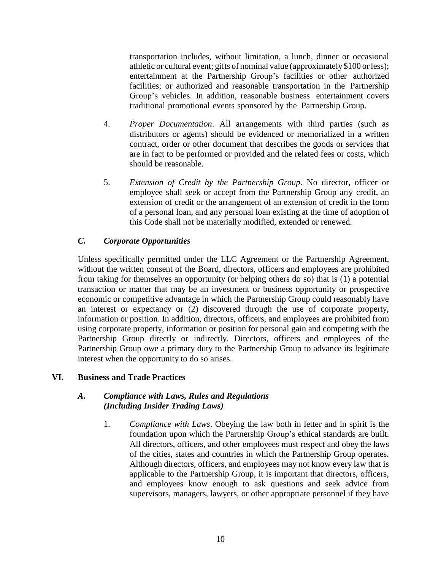transportation includes, without limitation, a lunch, dinner or occasional athletic or cultural event; gifts of nominal value (approximately \$100 orless); entertainment at the Partnership Group's facilities or other authorized facilities; or authorized and reasonable transportation in the Partnership Group's vehicles. In addition, reasonable business entertainment covers traditional promotional events sponsored by the Partnership Group.

- 4. *Proper Documentation*. All arrangements with third parties (such as distributors or agents) should be evidenced or memorialized in a written contract, order or other document that describes the goods or services that are in fact to be performed or provided and the related fees or costs, which should be reasonable.
- 5. *Extension of Credit by the Partnership Group*. No director, officer or employee shall seek or accept from the Partnership Group any credit, an extension of credit or the arrangement of an extension of credit in the form of a personal loan, and any personal loan existing at the time of adoption of this Code shall not be materially modified, extended or renewed.

# *C. Corporate Opportunities*

Unless specifically permitted under the LLC Agreement or the Partnership Agreement, without the written consent of the Board, directors, officers and employees are prohibited from taking for themselves an opportunity (or helping others do so) that is (1) a potential transaction or matter that may be an investment or business opportunity or prospective economic or competitive advantage in which the Partnership Group could reasonably have an interest or expectancy or (2) discovered through the use of corporate property, information or position. In addition, directors, officers, and employees are prohibited from using corporate property, information or position for personal gain and competing with the Partnership Group directly or indirectly. Directors, officers and employees of the Partnership Group owe a primary duty to the Partnership Group to advance its legitimate interest when the opportunity to do so arises.

# **VI. Business and Trade Practices**

#### *A. Compliance with Laws, Rules and Regulations (Including Insider Trading Laws)*

1. *Compliance with Laws*. Obeying the law both in letter and in spirit is the foundation upon which the Partnership Group's ethical standards are built. All directors, officers, and other employees must respect and obey the laws of the cities, states and countries in which the Partnership Group operates. Although directors, officers, and employees may not know every law that is applicable to the Partnership Group, it is important that directors, officers, and employees know enough to ask questions and seek advice from supervisors, managers, lawyers, or other appropriate personnel if they have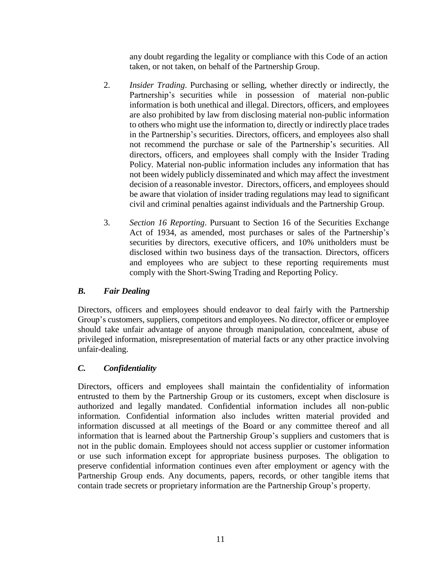any doubt regarding the legality or compliance with this Code of an action taken, or not taken, on behalf of the Partnership Group.

- 2. *Insider Trading*. Purchasing or selling, whether directly or indirectly, the Partnership's securities while in possession of material non-public information is both unethical and illegal. Directors, officers, and employees are also prohibited by law from disclosing material non-public information to others who might use the information to, directly or indirectly place trades in the Partnership's securities. Directors, officers, and employees also shall not recommend the purchase or sale of the Partnership's securities. All directors, officers, and employees shall comply with the Insider Trading Policy. Material non-public information includes any information that has not been widely publicly disseminated and which may affect the investment decision of a reasonable investor. Directors, officers, and employees should be aware that violation of insider trading regulations may lead to significant civil and criminal penalties against individuals and the Partnership Group.
- 3. *Section 16 Reporting*. Pursuant to Section 16 of the Securities Exchange Act of 1934, as amended, most purchases or sales of the Partnership's securities by directors, executive officers, and 10% unitholders must be disclosed within two business days of the transaction. Directors, officers and employees who are subject to these reporting requirements must comply with the Short-Swing Trading and Reporting Policy.

## *B. Fair Dealing*

Directors, officers and employees should endeavor to deal fairly with the Partnership Group's customers, suppliers, competitors and employees. No director, officer or employee should take unfair advantage of anyone through manipulation, concealment, abuse of privileged information, misrepresentation of material facts or any other practice involving unfair-dealing.

# *C. Confidentiality*

Directors, officers and employees shall maintain the confidentiality of information entrusted to them by the Partnership Group or its customers, except when disclosure is authorized and legally mandated. Confidential information includes all non-public information. Confidential information also includes written material provided and information discussed at all meetings of the Board or any committee thereof and all information that is learned about the Partnership Group's suppliers and customers that is not in the public domain. Employees should not access supplier or customer information or use such information except for appropriate business purposes. The obligation to preserve confidential information continues even after employment or agency with the Partnership Group ends. Any documents, papers, records, or other tangible items that contain trade secrets or proprietary information are the Partnership Group's property.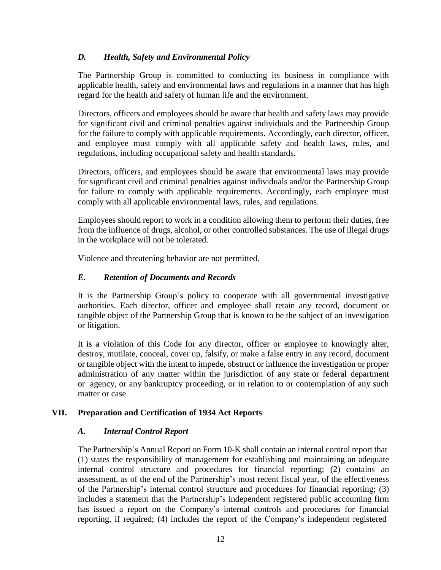## *D. Health, Safety and Environmental Policy*

The Partnership Group is committed to conducting its business in compliance with applicable health, safety and environmental laws and regulations in a manner that has high regard for the health and safety of human life and the environment.

Directors, officers and employees should be aware that health and safety laws may provide for significant civil and criminal penalties against individuals and the Partnership Group for the failure to comply with applicable requirements. Accordingly, each director, officer, and employee must comply with all applicable safety and health laws, rules, and regulations, including occupational safety and health standards.

Directors, officers, and employees should be aware that environmental laws may provide for significant civil and criminal penalties against individuals and/or the Partnership Group for failure to comply with applicable requirements. Accordingly, each employee must comply with all applicable environmental laws, rules, and regulations.

Employees should report to work in a condition allowing them to perform their duties, free from the influence of drugs, alcohol, or other controlled substances. The use of illegal drugs in the workplace will not be tolerated.

Violence and threatening behavior are not permitted.

## *E. Retention of Documents and Records*

It is the Partnership Group's policy to cooperate with all governmental investigative authorities. Each director, officer and employee shall retain any record, document or tangible object of the Partnership Group that is known to be the subject of an investigation or litigation.

It is a violation of this Code for any director, officer or employee to knowingly alter, destroy, mutilate, conceal, cover up, falsify, or make a false entry in any record, document or tangible object with the intent to impede, obstruct or influence the investigation or proper administration of any matter within the jurisdiction of any state or federal department or agency, or any bankruptcy proceeding, or in relation to or contemplation of any such matter or case.

## **VII. Preparation and Certification of 1934 Act Reports**

## *A. Internal Control Report*

The Partnership's Annual Report on Form 10-K shall contain an internal control report that (1) states the responsibility of management for establishing and maintaining an adequate internal control structure and procedures for financial reporting; (2) contains an assessment, as of the end of the Partnership's most recent fiscal year, of the effectiveness of the Partnership's internal control structure and procedures for financial reporting; (3) includes a statement that the Partnership's independent registered public accounting firm has issued a report on the Company's internal controls and procedures for financial reporting, if required; (4) includes the report of the Company's independent registered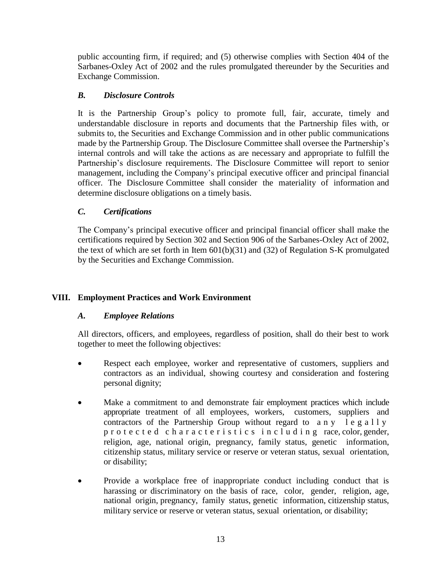public accounting firm, if required; and (5) otherwise complies with Section 404 of the Sarbanes-Oxley Act of 2002 and the rules promulgated thereunder by the Securities and Exchange Commission.

# *B. Disclosure Controls*

It is the Partnership Group's policy to promote full, fair, accurate, timely and understandable disclosure in reports and documents that the Partnership files with, or submits to, the Securities and Exchange Commission and in other public communications made by the Partnership Group. The Disclosure Committee shall oversee the Partnership's internal controls and will take the actions as are necessary and appropriate to fulfill the Partnership's disclosure requirements. The Disclosure Committee will report to senior management, including the Company's principal executive officer and principal financial officer. The Disclosure Committee shall consider the materiality of information and determine disclosure obligations on a timely basis.

# *C. Certifications*

The Company's principal executive officer and principal financial officer shall make the certifications required by Section 302 and Section 906 of the Sarbanes-Oxley Act of 2002, the text of which are set forth in Item  $601(b)(31)$  and  $(32)$  of Regulation S-K promulgated by the Securities and Exchange Commission.

# **VIII. Employment Practices and Work Environment**

## *A. Employee Relations*

All directors, officers, and employees, regardless of position, shall do their best to work together to meet the following objectives:

- Respect each employee, worker and representative of customers, suppliers and contractors as an individual, showing courtesy and consideration and fostering personal dignity;
- Make a commitment to and demonstrate fair employment practices which include appropriate treatment of all employees, workers, customers, suppliers and contractors of the Partnership Group without regard to a n y l e g a l l y p r o t e c t e d c h a r a c t e r i s t i c s i n c l u d i n g race, color, gender, religion, age, national origin, pregnancy, family status, genetic information, citizenship status, military service or reserve or veteran status, sexual orientation, or disability;
- Provide a workplace free of inappropriate conduct including conduct that is harassing or discriminatory on the basis of race, color, gender, religion, age, national origin, pregnancy, family status, genetic information, citizenship status, military service or reserve or veteran status, sexual orientation, or disability;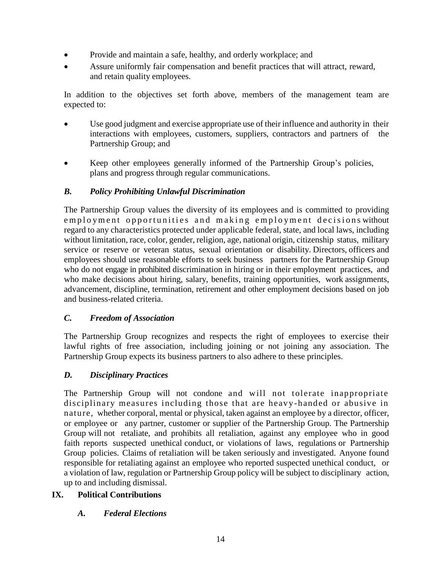- Provide and maintain a safe, healthy, and orderly workplace; and
- Assure uniformly fair compensation and benefit practices that will attract, reward, and retain quality employees.

In addition to the objectives set forth above, members of the management team are expected to:

- Use good judgment and exercise appropriate use of their influence and authority in their interactions with employees, customers, suppliers, contractors and partners of the Partnership Group; and
- Keep other employees generally informed of the Partnership Group's policies, plans and progress through regular communications.

# *B. Policy Prohibiting Unlawful Discrimination*

The Partnership Group values the diversity of its employees and is committed to providing employment opportunities and making employment decisions without regard to any characteristics protected under applicable federal, state, and local laws, including without limitation, race, color, gender, religion, age, national origin, citizenship status, military service or reserve or veteran status, sexual orientation or disability. Directors, officers and employees should use reasonable efforts to seek business partners for the Partnership Group who do not engage in prohibited discrimination in hiring or in their employment practices, and who make decisions about hiring, salary, benefits, training opportunities, work assignments, advancement, discipline, termination, retirement and other employment decisions based on job and business-related criteria.

## *C. Freedom of Association*

The Partnership Group recognizes and respects the right of employees to exercise their lawful rights of free association, including joining or not joining any association. The Partnership Group expects its business partners to also adhere to these principles.

## *D. Disciplinary Practices*

The Partnership Group will not condone and will not tolerate inappropriate disciplinary measures including those that are heavy -handed or abusive in nature, whether corporal, mental or physical, taken against an employee by a director, officer, or employee or any partner, customer or supplier of the Partnership Group. The Partnership Group will not retaliate, and prohibits all retaliation, against any employee who in good faith reports suspected unethical conduct, or violations of laws, regulations or Partnership Group policies. Claims of retaliation will be taken seriously and investigated. Anyone found responsible for retaliating against an employee who reported suspected unethical conduct, or a violation of law, regulation or Partnership Group policy will be subject to disciplinary action, up to and including dismissal.

# **IX. Political Contributions**

## *A. Federal Elections*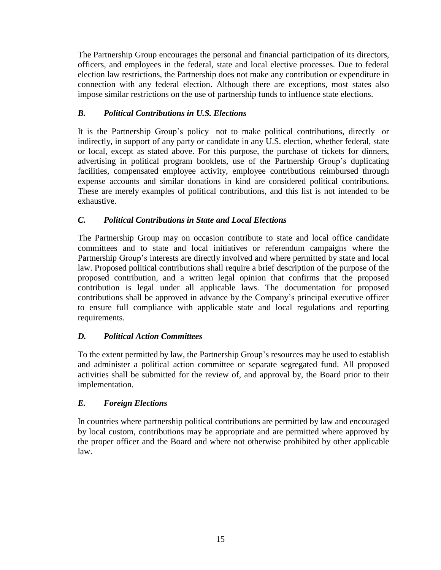The Partnership Group encourages the personal and financial participation of its directors, officers, and employees in the federal, state and local elective processes. Due to federal election law restrictions, the Partnership does not make any contribution or expenditure in connection with any federal election. Although there are exceptions, most states also impose similar restrictions on the use of partnership funds to influence state elections.

# *B. Political Contributions in U.S. Elections*

It is the Partnership Group's policy not to make political contributions, directly or indirectly, in support of any party or candidate in any U.S. election, whether federal, state or local, except as stated above. For this purpose, the purchase of tickets for dinners, advertising in political program booklets, use of the Partnership Group's duplicating facilities, compensated employee activity, employee contributions reimbursed through expense accounts and similar donations in kind are considered political contributions. These are merely examples of political contributions, and this list is not intended to be exhaustive.

# *C. Political Contributions in State and Local Elections*

The Partnership Group may on occasion contribute to state and local office candidate committees and to state and local initiatives or referendum campaigns where the Partnership Group's interests are directly involved and where permitted by state and local law. Proposed political contributions shall require a brief description of the purpose of the proposed contribution, and a written legal opinion that confirms that the proposed contribution is legal under all applicable laws. The documentation for proposed contributions shall be approved in advance by the Company's principal executive officer to ensure full compliance with applicable state and local regulations and reporting requirements.

# *D. Political Action Committees*

To the extent permitted by law, the Partnership Group's resources may be used to establish and administer a political action committee or separate segregated fund. All proposed activities shall be submitted for the review of, and approval by, the Board prior to their implementation.

## *E. Foreign Elections*

In countries where partnership political contributions are permitted by law and encouraged by local custom, contributions may be appropriate and are permitted where approved by the proper officer and the Board and where not otherwise prohibited by other applicable law.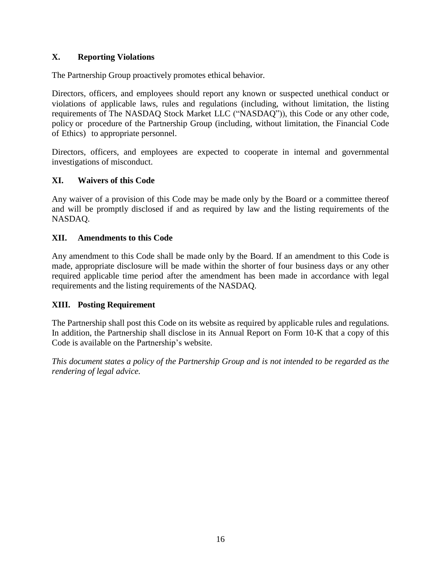# **X. Reporting Violations**

The Partnership Group proactively promotes ethical behavior.

Directors, officers, and employees should report any known or suspected unethical conduct or violations of applicable laws, rules and regulations (including, without limitation, the listing requirements of The NASDAQ Stock Market LLC ("NASDAQ")), this Code or any other code, policy or procedure of the Partnership Group (including, without limitation, the Financial Code of Ethics) to appropriate personnel.

Directors, officers, and employees are expected to cooperate in internal and governmental investigations of misconduct.

## **XI. Waivers of this Code**

Any waiver of a provision of this Code may be made only by the Board or a committee thereof and will be promptly disclosed if and as required by law and the listing requirements of the NASDAQ.

## **XII. Amendments to this Code**

Any amendment to this Code shall be made only by the Board. If an amendment to this Code is made, appropriate disclosure will be made within the shorter of four business days or any other required applicable time period after the amendment has been made in accordance with legal requirements and the listing requirements of the NASDAQ.

## **XIII. Posting Requirement**

The Partnership shall post this Code on its website as required by applicable rules and regulations. In addition, the Partnership shall disclose in its Annual Report on Form 10-K that a copy of this Code is available on the Partnership's website.

*This document states a policy of the Partnership Group and is not intended to be regarded as the rendering of legal advice.*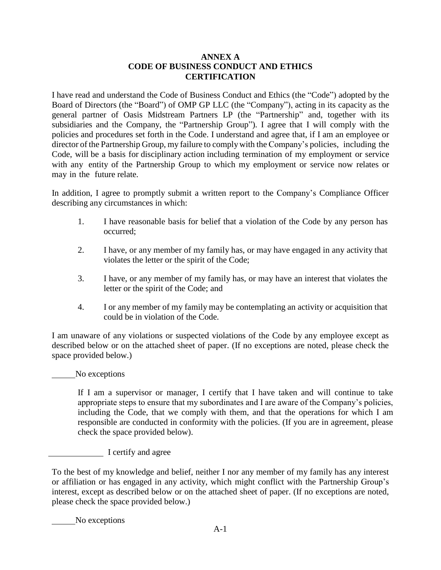#### **ANNEX A CODE OF BUSINESS CONDUCT AND ETHICS CERTIFICATION**

<span id="page-16-0"></span>I have read and understand the Code of Business Conduct and Ethics (the "Code") adopted by the Board of Directors (the "Board") of OMP GP LLC (the "Company"), acting in its capacity as the general partner of Oasis Midstream Partners LP (the "Partnership" and, together with its subsidiaries and the Company, the "Partnership Group"). I agree that I will comply with the policies and procedures set forth in the Code. I understand and agree that, if I am an employee or director of the Partnership Group, my failure to complywith the Company's policies, including the Code, will be a basis for disciplinary action including termination of my employment or service with any entity of the Partnership Group to which my employment or service now relates or may in the future relate.

In addition, I agree to promptly submit a written report to the Company's Compliance Officer describing any circumstances in which:

- 1. I have reasonable basis for belief that a violation of the Code by any person has occurred;
- 2. I have, or any member of my family has, or may have engaged in any activity that violates the letter or the spirit of the Code;
- 3. I have, or any member of my family has, or may have an interest that violates the letter or the spirit of the Code; and
- 4. I or any member of my family may be contemplating an activity or acquisition that could be in violation of the Code.

I am unaware of any violations or suspected violations of the Code by any employee except as described below or on the attached sheet of paper. (If no exceptions are noted, please check the space provided below.)

#### No exceptions

If I am a supervisor or manager, I certify that I have taken and will continue to take appropriate steps to ensure that my subordinates and I are aware of the Company's policies, including the Code, that we comply with them, and that the operations for which I am responsible are conducted in conformity with the policies. (If you are in agreement, please check the space provided below).

I certify and agree

To the best of my knowledge and belief, neither I nor any member of my family has any interest or affiliation or has engaged in any activity, which might conflict with the Partnership Group's interest, except as described below or on the attached sheet of paper. (If no exceptions are noted, please check the space provided below.)

No exceptions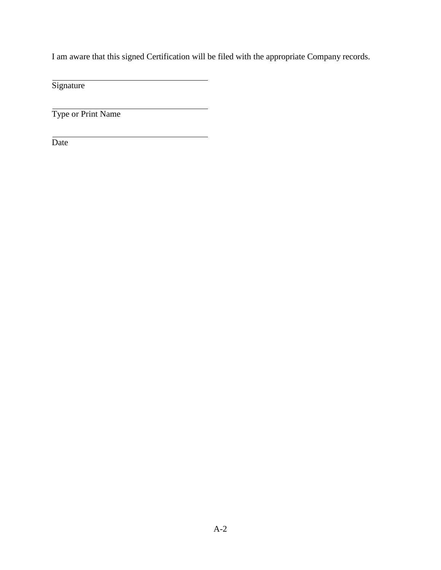I am aware that this signed Certification will be filed with the appropriate Company records.

**Signature** 

Type or Print Name

Date